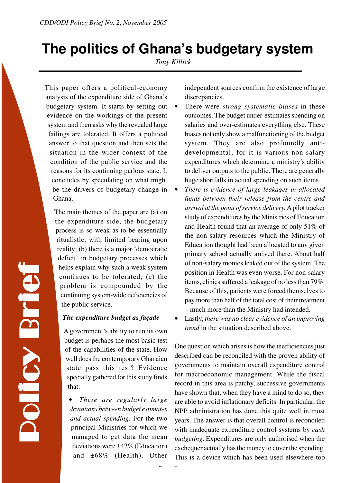# **The politics of Ghana's budgetary system**

*Tony Killick*

This paper offers a political-economy analysis of the expenditure side of Ghana's budgetary system. It starts by setting out evidence on the workings of the present system and then asks why the revealed large failings are tolerated. It offers a political answer to that question and then sets the situation in the wider context of the condition of the public service and the reasons for its continuing parlous state. It concludes by speculating on what might be the drivers of budgetary change in Ghana.

The main themes of the paper are (a) on the expenditure side, the budgetary process is so weak as to be essentially ritualistic, with limited bearing upon reality; (b) there is a major 'democratic deficit' in budgetary processes which helps explain why such a weak system continues to be tolerated; (c) the problem is compounded by the continuing system-wide deficiencies of the public service.

## *The expenditure budget as façade*

A government's ability to run its own budget is perhaps the most basic test of the capabilities of the state. How well does the contemporary Ghanaian state pass this test? Evidence specially gathered for this study finds that:

• *There are regularly large deviations between budget estimates and actual spending.* For the two principal Ministries for which we managed to get data the mean deviations were ±42% (Education) and ±68% (Health). Other

*Page 1*

independent sources confirm the existence of large discrepancies.

- There were *strong systematic biases* in these outcomes. The budget under-estimates spending on salaries and over-estimates everything else. These biases not only show a malfunctioning of the budget system. They are also profoundly antidevelopmental, for it is various non-salary expenditures which determine a ministry's ability to deliver outputs to the public. There are generally huge shortfalls in actual spending on such items.
- *There is evidence of large leakages in allocated funds between their release from the centre and arrival at the point of service delivery.* A pilot tracker study of expenditures by the Ministries of Education and Health found that an average of only 51% of the non-salary resources which the Ministry of Education thought had been allocated to any given primary school actually arrived there. About half of non-salary monies leaked out of the system. The position in Health was even worse. For non-salary items, clinics suffered a leakage of no less than 79%. Because of this, patients were forced themselves to pay more than half of the total cost of their treatment – much more than the Ministry had intended.
- Lastly, *there was no clear evidence of an improving trend* in the situation described above.

One question which arises is how the inefficiencies just described can be reconciled with the proven ability of governments to maintain overall expenditure control for macroeconomic management. While the fiscal record in this area is patchy, successive governments have shown that, when they have a mind to do so, they are able to avoid inflationary deficits. In particular, the NPP administration has done this quite well in most years. The answer is that overall control is reconciled with inadequate expenditure control systems by *cash budgeting*. Expenditures are only authorised when the exchequer actually has the money to cover the spending. This is a device which has been used elsewhere too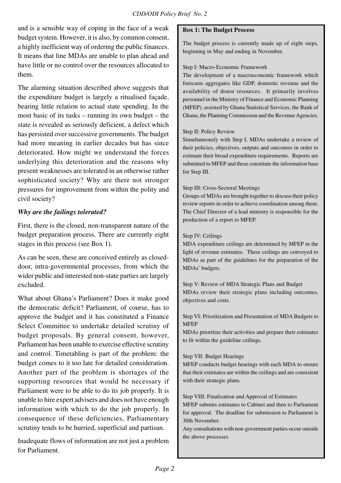and is a sensible way of coping in the face of a weak budget system. However, it is also, by common consent, a highly inefficient way of ordering the public finances. It means that line MDAs are unable to plan ahead and have little or no control over the resources allocated to them.

The alarming situation described above suggests that the expenditure budget is largely a ritualised façade, bearing little relation to actual state spending. In the most basic of its tasks – running its own budget – the state is revealed as seriously deficient, a defect which has persisted over successive governments. The budget had more meaning in earlier decades but has since deteriorated. How might we understand the forces underlying this deterioration and the reasons why present weaknesses are tolerated in an otherwise rather sophisticated society? Why are there not stronger pressures for improvement from within the polity and civil society?

# *Why are the failings tolerated?*

First, there is the closed, non-transparent nature of the budget preparation process. There are currently eight stages in this process (see Box 1).

As can be seen, these are conceived entirely as closeddoor, intra-governmental processes, from which the wider public and interested non-state parties are largely excluded.

What about Ghana's Parliament? Does it make good the democratic deficit? Parliament, of course, has to approve the budget and it has constituted a Finance Select Committee to undertake detailed scrutiny of budget proposals. By general consent, however, Parliament has been unable to exercise effective scrutiny and control. Timetabling is part of the problem: the budget comes to it too late for detailed consideration. Another part of the problem is shortages of the supporting resources that would be necessary if Parliament were to be able to do its job properly. It is unable to hire expert advisers and does not have enough information with which to do the job properly. In consequence of these deficiencies, Parliamentary scrutiny tends to be hurried, superficial and partisan.

Inadequate flows of information are not just a problem for Parliament.

#### **Box 1: The Budget Process**

The budget process is currently made up of eight steps, beginning in May and ending in November.

#### Step I: Macro-Economic Framework

The development of a macroeconomic framework which forecasts aggregates like GDP, domestic revenue and the availability of donor resources. It primarily involves personnel in the Ministry of Finance and Economic Planning (MFEP), assisted by Ghana Statistical Services, the Bank of Ghana, the Planning Commission and the Revenue Agencies.

## Step II: Policy Review

Simultaneously with Step I, MDAs undertake a review of their policies, objectives, outputs and outcomes in order to estimate their broad expenditure requirements. Reports are submitted to MFEP and these constitute the information base for Step III.

## Step III: Cross-Sectoral Meetings

Groups of MDAs are brought together to discuss their policy review reports in order to achieve coordination among them. The Chief Director of a lead ministry is responsible for the production of a report to MFEP.

#### Step IV: Ceilings

MDA expenditure ceilings are determined by MFEP in the light of revenue estimates. These ceilings are conveyed to MDAs as part of the guidelines for the preparation of the MDAs' budgets.

Step V: Review of MDA Strategic Plans and Budget MDAs review their strategic plans including outcomes, objectives and costs.

#### Step VI: Prioritization and Presentation of MDA Budgets to **MFEP**

MDAs prioritize their activities and prepare their estimates to fit within the guideline ceilings.

#### Step VII: Budget Hearings

MFEP conducts budget hearings with each MDA to ensure that their estimates are within the ceilings and are consistent with their strategic plans.

Step VIII: Finalization and Approval of Estimates

MFEP submits estimates to Cabinet and then to Parliament for approval. The deadline for submission to Parliament is 30th November.

Any consultations with non-government parties occur outside the above processes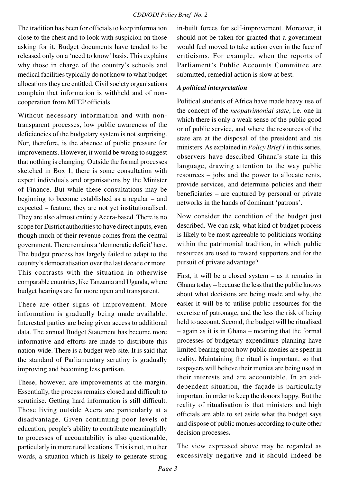The tradition has been for officials to keep information close to the chest and to look with suspicion on those asking for it. Budget documents have tended to be released only on a 'need to know' basis. This explains why those in charge of the country's schools and medical facilities typically do not know to what budget allocations they are entitled. Civil society organisations complain that information is withheld and of noncooperation from MFEP officials.

Without necessary information and with nontransparent processes, low public awareness of the deficiencies of the budgetary system is not surprising. Nor, therefore, is the absence of public pressure for improvements. However, it would be wrong to suggest that nothing is changing. Outside the formal processes sketched in Box 1, there is some consultation with expert individuals and organisations by the Minister of Finance. But while these consultations may be beginning to become established as a regular – and expected – feature, they are not yet institutionalised. They are also almost entirely Accra-based. There is no scope for District authorities to have direct inputs, even though much of their revenue comes from the central government. There remains a 'democratic deficit' here. The budget process has largely failed to adapt to the country's democratisation over the last decade or more. This contrasts with the situation in otherwise comparable countries, like Tanzania and Uganda, where budget hearings are far more open and transparent.

There are other signs of improvement. More information is gradually being made available. Interested parties are being given access to additional data. The annual Budget Statement has become more informative and efforts are made to distribute this nation-wide. There is a budget web-site. It is said that the standard of Parliamentary scrutiny is gradually improving and becoming less partisan.

These, however, are improvements at the margin. Essentially, the process remains closed and difficult to scrutinise. Getting hard information is still difficult. Those living outside Accra are particularly at a disadvantage. Given continuing poor levels of education, people's ability to contribute meaningfully to processes of accountability is also questionable, particularly in more rural locations. This is not, in other words, a situation which is likely to generate strong

in-built forces for self-improvement. Moreover, it should not be taken for granted that a government would feel moved to take action even in the face of criticisms. For example, when the reports of Parliament's Public Accounts Committee are submitted, remedial action is slow at best.

# *A political interpretation*

Political students of Africa have made heavy use of the concept of the *neopatrimonial state*, i.e. one in which there is only a weak sense of the public good or of public service, and where the resources of the state are at the disposal of the president and his ministers. As explained in *Policy Brief 1* in this series, observers have described Ghana's state in this language, drawing attention to the way public resources – jobs and the power to allocate rents, provide services, and determine policies and their beneficiaries – are captured by personal or private networks in the hands of dominant 'patrons'.

Now consider the condition of the budget just described. We can ask, what kind of budget process is likely to be most agreeable to politicians working within the patrimonial tradition, in which public resources are used to reward supporters and for the pursuit of private advantage?

First, it will be a closed system – as it remains in Ghana today – because the less that the public knows about what decisions are being made and why, the easier it will be to utilise public resources for the exercise of patronage, and the less the risk of being held to account. Second, the budget will be ritualised – again as it is in Ghana – meaning that the formal processes of budgetary expenditure planning have limited bearing upon how public monies are spent in reality. Maintaining the ritual is important, so that taxpayers will believe their monies are being used in their interests and are accountable. In an aiddependent situation, the façade is particularly important in order to keep the donors happy. But the reality of ritualisation is that ministers and high officials are able to set aside what the budget says and dispose of public monies according to quite other decision processes**.**

The view expressed above may be regarded as excessively negative and it should indeed be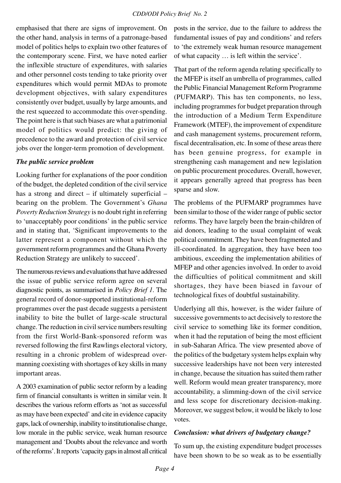emphasised that there are signs of improvement. On the other hand, analysis in terms of a patronage-based model of politics helps to explain two other features of the contemporary scene. First, we have noted earlier the inflexible structure of expenditures, with salaries and other personnel costs tending to take priority over expenditures which would permit MDAs to promote development objectives, with salary expenditures consistently over budget, usually by large amounts, and the rest squeezed to accommodate this over-spending. The point here is that such biases are what a patrimonial model of politics would predict: the giving of precedence to the award and protection of civil service jobs over the longer-term promotion of development.

#### *The public service problem*

Looking further for explanations of the poor condition of the budget, the depleted condition of the civil service has a strong and direct  $-$  if ultimately superficial  $$ bearing on the problem. The Government's *Ghana Poverty Reduction Strategy* is no doubt right in referring to 'unacceptably poor conditions' in the public service and in stating that, 'Significant improvements to the latter represent a component without which the government reform programmes and the Ghana Poverty Reduction Strategy are unlikely to succeed'.

The numerous reviews and evaluations that have addressed the issue of public service reform agree on several diagnostic points, as summarised in *Policy Brief 1*. The general record of donor-supported institutional-reform programmes over the past decade suggests a persistent inability to bite the bullet of large-scale structural change. The reduction in civil service numbers resulting from the first World-Bank-sponsored reform was reversed following the first Rawlings electoral victory, resulting in a chronic problem of widespread overmanning coexisting with shortages of key skills in many important areas.

A 2003 examination of public sector reform by a leading firm of financial consultants is written in similar vein. It describes the various reform efforts as 'not as successful as may have been expected' and cite in evidence capacity gaps, lack of ownership, inability to institutionalise change, low morale in the public service, weak human resource management and 'Doubts about the relevance and worth of the reforms'. It reports 'capacity gaps in almost all critical posts in the service, due to the failure to address the fundamental issues of pay and conditions' and refers to 'the extremely weak human resource management of what capacity … is left within the service'.

That part of the reform agenda relating specifically to the MFEP is itself an umbrella of programmes, called the Public Financial Management Reform Programme (PUFMARP). This has ten components, no less, including programmes for budget preparation through the introduction of a Medium Term Expenditure Framework (MTEF), the improvement of expenditure and cash management systems, procurement reform, fiscal decentralisation, etc. In some of these areas there has been genuine progress, for example in strengthening cash management and new legislation on public procurement procedures. Overall, however, it appears generally agreed that progress has been sparse and slow.

The problems of the PUFMARP programmes have been similar to those of the wider range of public sector reforms. They have largely been the brain-children of aid donors, leading to the usual complaint of weak political commitment. They have been fragmented and ill-coordinated. In aggregation, they have been too ambitious, exceeding the implementation abilities of MFEP and other agencies involved. In order to avoid the difficulties of political commitment and skill shortages, they have been biased in favour of technological fixes of doubtful sustainability.

Underlying all this, however, is the wider failure of successive governments to act decisively to restore the civil service to something like its former condition, when it had the reputation of being the most efficient in sub-Saharan Africa. The view presented above of the politics of the budgetary system helps explain why successive leaderships have not been very interested in change, because the situation has suited them rather well. Reform would mean greater transparency, more accountability, a slimming-down of the civil service and less scope for discretionary decision-making. Moreover, we suggest below, it would be likely to lose votes.

#### *Conclusion: what drivers of budgetary change?*

To sum up, the existing expenditure budget processes have been shown to be so weak as to be essentially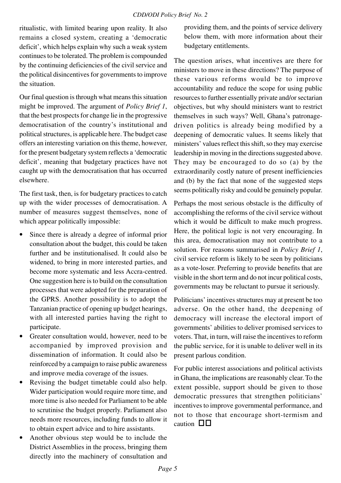ritualistic, with limited bearing upon reality. It also remains a closed system, creating a 'democratic deficit', which helps explain why such a weak system continues to be tolerated. The problem is compounded by the continuing deficiencies of the civil service and the political disincentives for governments to improve the situation.

Our final question is through what means this situation might be improved. The argument of *Policy Brief 1*, that the best prospects for change lie in the progressive democratisation of the country's institutional and political structures, is applicable here. The budget case offers an interesting variation on this theme, however, for the present budgetary system reflects a 'democratic deficit', meaning that budgetary practices have not caught up with the democratisation that has occurred elsewhere.

The first task, then, is for budgetary practices to catch up with the wider processes of democratisation. A number of measures suggest themselves, none of which appear politically impossible:

- Since there is already a degree of informal prior consultation about the budget, this could be taken further and be institutionalised. It could also be widened, to bring in more interested parties, and become more systematic and less Accra-centred. One suggestion here is to build on the consultation processes that were adopted for the preparation of the GPRS. Another possibility is to adopt the Tanzanian practice of opening up budget hearings, with all interested parties having the right to participate.
- Greater consultation would, however, need to be accompanied by improved provision and dissemination of information. It could also be reinforced by a campaign to raise public awareness and improve media coverage of the issues.
- Revising the budget timetable could also help. Wider participation would require more time, and more time is also needed for Parliament to be able to scrutinise the budget properly. Parliament also needs more resources, including funds to allow it to obtain expert advice and to hire assistants.
- Another obvious step would be to include the District Assemblies in the process, bringing them directly into the machinery of consultation and

providing them, and the points of service delivery below them, with more information about their budgetary entitlements.

The question arises, what incentives are there for ministers to move in these directions? The purpose of these various reforms would be to improve accountability and reduce the scope for using public resources to further essentially private and/or sectarian objectives, but why should ministers want to restrict themselves in such ways? Well, Ghana's patronagedriven politics is already being modified by a deepening of democratic values. It seems likely that ministers' values reflect this shift, so they may exercise leadership in moving in the directions suggested above. They may be encouraged to do so (a) by the extraordinarily costly nature of present inefficiencies and (b) by the fact that none of the suggested steps seems politically risky and could be genuinely popular.

Perhaps the most serious obstacle is the difficulty of accomplishing the reforms of the civil service without which it would be difficult to make much progress. Here, the political logic is not very encouraging. In this area, democratisation may not contribute to a solution. For reasons summarised in *Policy Brief 1*, civil service reform is likely to be seen by politicians as a vote-loser. Preferring to provide benefits that are visible in the short term and do not incur political costs, governments may be reluctant to pursue it seriously.

Politicians' incentives structures may at present be too adverse. On the other hand, the deepening of democracy will increase the electoral import of governments' abilities to deliver promised services to voters. That, in turn, will raise the incentives to reform the public service, for it is unable to deliver well in its present parlous condition.

For public interest associations and political activists in Ghana, the implications are reasonably clear. To the extent possible, support should be given to those democratic pressures that strengthen politicians' incentives to improve governmental performance, and not to those that encourage short-termism and caution V V